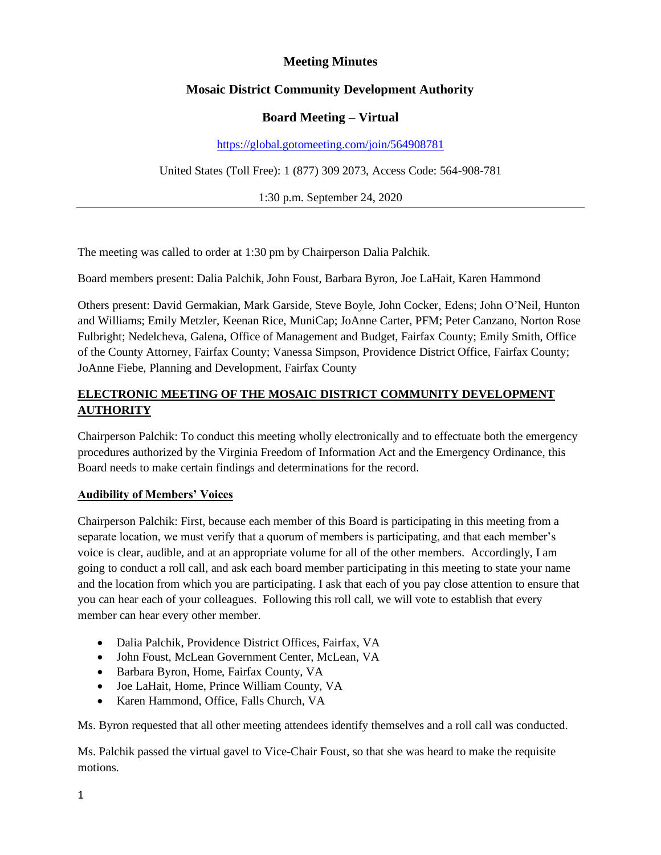## **Meeting Minutes**

## **Mosaic District Community Development Authority**

### **Board Meeting – Virtual**

#### <https://global.gotomeeting.com/join/564908781>

United States (Toll Free): 1 (877) 309 2073, Access Code: 564-908-781

1:30 p.m. September 24, 2020

The meeting was called to order at 1:30 pm by Chairperson Dalia Palchik.

Board members present: Dalia Palchik, John Foust, Barbara Byron, Joe LaHait, Karen Hammond

Others present: David Germakian, Mark Garside, Steve Boyle, John Cocker, Edens; John O'Neil, Hunton and Williams; Emily Metzler, Keenan Rice, MuniCap; JoAnne Carter, PFM; Peter Canzano, Norton Rose Fulbright; Nedelcheva, Galena, Office of Management and Budget, Fairfax County; Emily Smith, Office of the County Attorney, Fairfax County; Vanessa Simpson, Providence District Office, Fairfax County; JoAnne Fiebe, Planning and Development, Fairfax County

## **ELECTRONIC MEETING OF THE MOSAIC DISTRICT COMMUNITY DEVELOPMENT AUTHORITY**

Chairperson Palchik: To conduct this meeting wholly electronically and to effectuate both the emergency procedures authorized by the Virginia Freedom of Information Act and the Emergency Ordinance, this Board needs to make certain findings and determinations for the record.

### **Audibility of Members' Voices**

Chairperson Palchik: First, because each member of this Board is participating in this meeting from a separate location, we must verify that a quorum of members is participating, and that each member's voice is clear, audible, and at an appropriate volume for all of the other members. Accordingly, I am going to conduct a roll call, and ask each board member participating in this meeting to state your name and the location from which you are participating. I ask that each of you pay close attention to ensure that you can hear each of your colleagues. Following this roll call, we will vote to establish that every member can hear every other member.

- Dalia Palchik, Providence District Offices, Fairfax, VA
- John Foust, McLean Government Center, McLean, VA
- Barbara Byron, Home, Fairfax County, VA
- Joe LaHait, Home, Prince William County, VA
- Karen Hammond, Office, Falls Church, VA

Ms. Byron requested that all other meeting attendees identify themselves and a roll call was conducted.

Ms. Palchik passed the virtual gavel to Vice-Chair Foust, so that she was heard to make the requisite motions.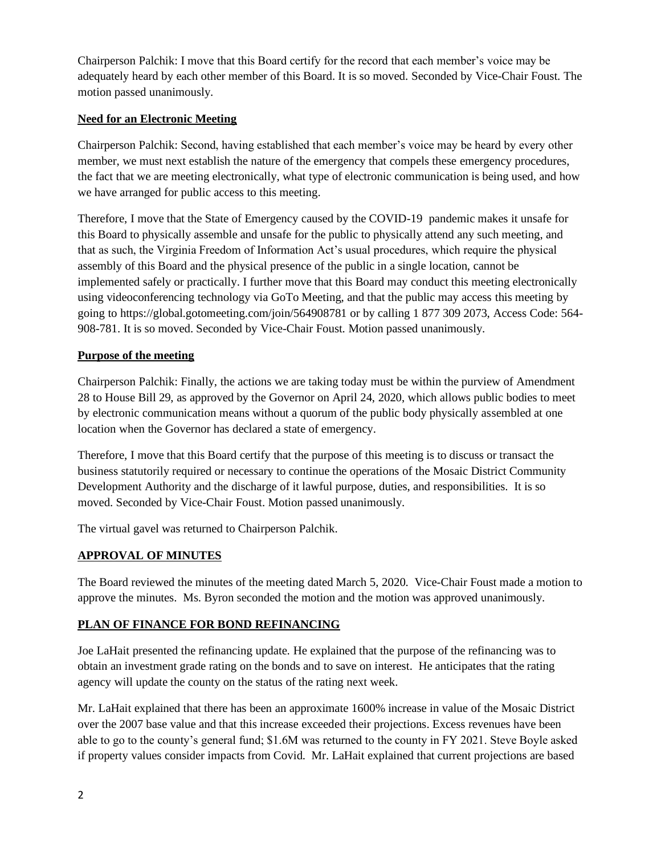Chairperson Palchik: I move that this Board certify for the record that each member's voice may be adequately heard by each other member of this Board. It is so moved. Seconded by Vice-Chair Foust. The motion passed unanimously.

### **Need for an Electronic Meeting**

Chairperson Palchik: Second, having established that each member's voice may be heard by every other member, we must next establish the nature of the emergency that compels these emergency procedures, the fact that we are meeting electronically, what type of electronic communication is being used, and how we have arranged for public access to this meeting.

Therefore, I move that the State of Emergency caused by the COVID-19 pandemic makes it unsafe for this Board to physically assemble and unsafe for the public to physically attend any such meeting, and that as such, the Virginia Freedom of Information Act's usual procedures, which require the physical assembly of this Board and the physical presence of the public in a single location, cannot be implemented safely or practically. I further move that this Board may conduct this meeting electronically using videoconferencing technology via GoTo Meeting, and that the public may access this meeting by going to https://global.gotomeeting.com/join/564908781 or by calling 1 877 309 2073, Access Code: 564- 908-781. It is so moved. Seconded by Vice-Chair Foust. Motion passed unanimously.

### **Purpose of the meeting**

Chairperson Palchik: Finally, the actions we are taking today must be within the purview of Amendment 28 to House Bill 29, as approved by the Governor on April 24, 2020, which allows public bodies to meet by electronic communication means without a quorum of the public body physically assembled at one location when the Governor has declared a state of emergency.

Therefore, I move that this Board certify that the purpose of this meeting is to discuss or transact the business statutorily required or necessary to continue the operations of the Mosaic District Community Development Authority and the discharge of it lawful purpose, duties, and responsibilities. It is so moved. Seconded by Vice-Chair Foust. Motion passed unanimously.

The virtual gavel was returned to Chairperson Palchik.

# **APPROVAL OF MINUTES**

The Board reviewed the minutes of the meeting dated March 5, 2020. Vice-Chair Foust made a motion to approve the minutes. Ms. Byron seconded the motion and the motion was approved unanimously.

### **PLAN OF FINANCE FOR BOND REFINANCING**

Joe LaHait presented the refinancing update. He explained that the purpose of the refinancing was to obtain an investment grade rating on the bonds and to save on interest. He anticipates that the rating agency will update the county on the status of the rating next week.

Mr. LaHait explained that there has been an approximate 1600% increase in value of the Mosaic District over the 2007 base value and that this increase exceeded their projections. Excess revenues have been able to go to the county's general fund; \$1.6M was returned to the county in FY 2021. Steve Boyle asked if property values consider impacts from Covid. Mr. LaHait explained that current projections are based